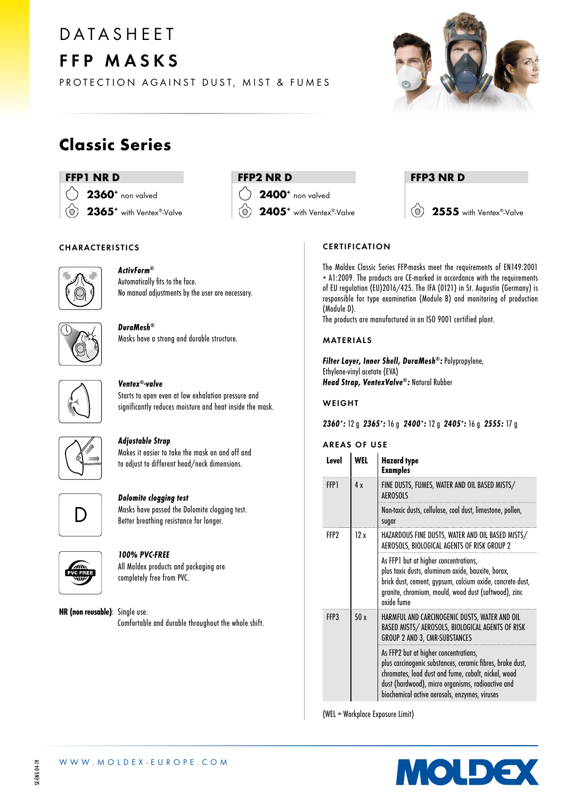# **DATASHEET** FFP MASKS



PROTECTION AGAINST DUST, MIST & FUMES

### Classic Series

#### FFP1 NR D

2360<sup>+</sup> non valved 2365<sup>+</sup> with Ventex®-Valve ര്

### FFP2 NR D

2400<sup>+</sup> non valved

2405<sup>+</sup> with Ventex®-Valve

#### FFP3 NR D

 $\circ$ 2555 with Ventex®-Valve

#### CHARACTERISTICS



#### ActivForm® Automatically fits to the face. No manual adjustments by the user are necessary.

DuraMesh® Masks have a strong and durable structure.



#### Ventex®-valve

Starts to open even at low exhalation pressure and significantly reduces moisture and heat inside the mask.



#### Adjustable Strap

Makes it easier to take the mask on and off and to adjust to different head/neck dimensions.



#### Dolomite clogging test

Masks have passed the Dolomite clogging test. Better breathing resistance for longer.



#### 100% PVC-FREE

All Moldex products and packaging are completely free from PVC.

NR (non reusable): Single use. Comfortable and durable throughout the whole shift.

**CERTIFICATION** 

The Moldex Classic Series FFP-masks meet the requirements of EN149:2001 + A1:2009. The products are CE-marked in accordance with the requirements of EU regulation (EU)2016/425. The IFA (0121) in St. Augustin (Germany) is responsible for type examination (Module B) and monitoring of production (Module D).

The products are manufactured in an ISO 9001 certified plant.

#### MATERIALS

Filter Layer, Inner Shell, DuraMesh®: Polypropylene, Ethylene-vinyl acetate (EVA) Head Strap, VentexValve®: Natural Rubber

#### WEIGHT

2360: 12 g 2365: 16 g 2400: 12 g 2405: 16 g 2555: 17 g

#### AREAS OF USE

| Level | WEL | <b>Hazard</b> type<br><b>Examples</b>                                                                                                                                                                                                                           |
|-------|-----|-----------------------------------------------------------------------------------------------------------------------------------------------------------------------------------------------------------------------------------------------------------------|
| FFP1  | 4 x | FINE DUSTS, FUMES, WATER AND OIL BASED MISTS/<br><b>AEROSOLS</b>                                                                                                                                                                                                |
|       |     | Non-toxic dusts, cellulose, coal dust, limestone, pollen,<br>sugar                                                                                                                                                                                              |
| FFP?  | 12x | HAZARDOUS FINE DUSTS, WATER AND OIL BASED MISTS/<br>AEROSOLS, BIOLOGICAL AGENTS OF RISK GROUP 2                                                                                                                                                                 |
|       |     | As FFP1 but at higher concentrations,<br>plus toxic dusts, aluminum oxide, bauxite, borax,<br>brick dust, cement, gypsum, calcium oxide, concrete dust,<br>granite, chromium, mould, wood dust (softwood), zinc<br>oxide fume                                   |
| FFP3  | 50x | HARMFUL AND CARCINOGENIC DUSTS, WATER AND OIL<br>BASED MISTS/ AEROSOLS, BIOLOGICAL AGENTS OF RISK<br>GROUP 2 AND 3, CMR-SUBSTANCES                                                                                                                              |
|       |     | As FFP2 but at higher concentrations,<br>plus carcinogenic substances, ceramic fibres, brake dust,<br>chromates, lead dust and fume, cobalt, nickel, wood<br>dust (hardwood), micro organisms, radioactive and<br>biochemical active aerosols, enzymes, viruses |

(WEL = Workplace Exposure Limit)